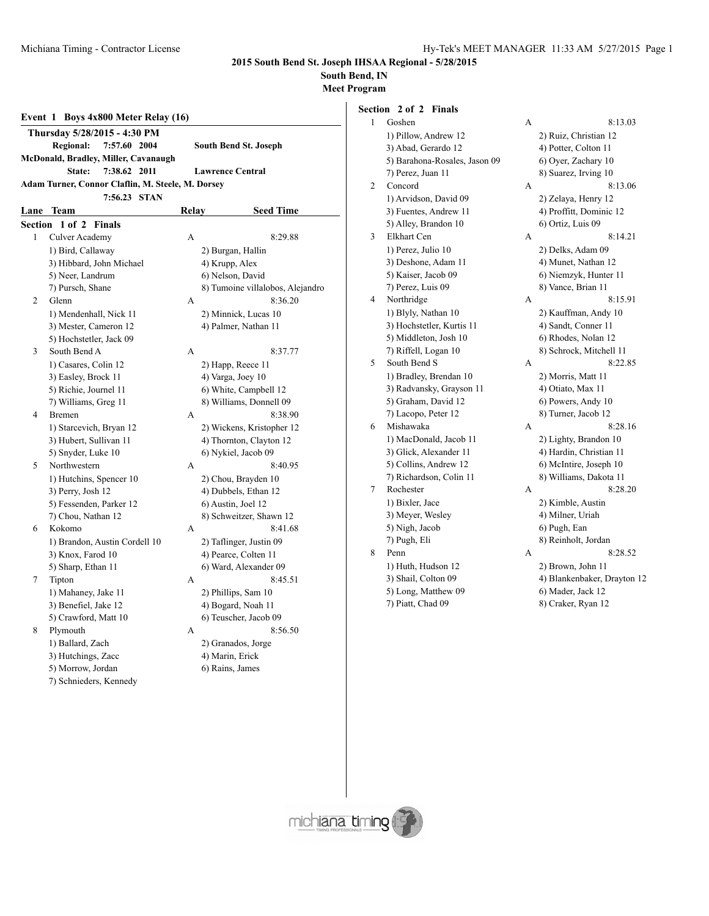### **South Bend, IN**

**Meet Program**

|                | Event 1 Boys $4x800$ Meter Relay $(16)$<br>Thursday 5/28/2015 - 4:30 PM |       |                                  |
|----------------|-------------------------------------------------------------------------|-------|----------------------------------|
|                | <b>Regional:</b><br>7:57.60 2004                                        |       | <b>South Bend St. Joseph</b>     |
|                | McDonald, Bradley, Miller, Cavanaugh                                    |       |                                  |
|                | 7:38.62 2011<br>State:                                                  |       | <b>Lawrence Central</b>          |
|                | Adam Turner, Connor Claflin, M. Steele, M. Dorsey                       |       |                                  |
|                | 7:56.23 STAN                                                            |       |                                  |
| Lane           | <b>Team</b>                                                             | Relay | <b>Seed Time</b>                 |
|                | Section 1 of 2 Finals                                                   |       |                                  |
| 1              | Culver Academy                                                          | A     | 8:29.88                          |
|                | 1) Bird, Callaway                                                       |       | 2) Burgan, Hallin                |
|                | 3) Hibbard, John Michael                                                |       | 4) Krupp, Alex                   |
|                | 5) Neer, Landrum                                                        |       | 6) Nelson, David                 |
|                | 7) Pursch, Shane                                                        |       | 8) Tumoine villalobos, Alejandro |
| $\overline{c}$ | Glenn                                                                   | A     | 8:36.20                          |
|                | 1) Mendenhall, Nick 11                                                  |       | 2) Minnick, Lucas 10             |
|                | 3) Mester, Cameron 12                                                   |       | 4) Palmer, Nathan 11             |
|                | 5) Hochstetler, Jack 09                                                 |       |                                  |
| 3              | South Bend A                                                            | A     | 8:37.77                          |
|                | 1) Casares, Colin 12                                                    |       | 2) Happ, Reece 11                |
|                | 3) Easley, Brock 11                                                     |       | 4) Varga, Joey 10                |
|                | 5) Richie, Journel 11                                                   |       | 6) White, Campbell 12            |

# 5) Snyder, Luke 10 6) Nykiel, Jacob 09 5) Fessenden, Parker 12 6) Austin, Joel 12 1) Mahaney, Jake 11 2) Phillips, Sam 10 3) Benefiel, Jake 12 4) Bogard, Noah 11 1) Ballard, Zach 2) Granados, Jorge

7) Schnieders, Kennedy

7) Williams, Greg 11 8) Williams, Donnell 09 4 Bremen A 8:38.90 1) Starcevich, Bryan 12 2) Wickens, Kristopher 12 3) Hubert, Sullivan 11 4) Thornton, Clayton 12 5 Northwestern A 8:40.95 1) Hutchins, Spencer 10 2) Chou, Brayden 10 3) Perry, Josh 12 4) Dubbels, Ethan 12 7) Chou, Nathan 12 8) Schweitzer, Shawn 12 6 Kokomo A 8:41.68 1) Brandon, Austin Cordell 10 2) Taflinger, Justin 09 3) Knox, Farod 10 4) Pearce, Colten 11 5) Sharp, Ethan 11 6) Ward, Alexander 09 7 Tipton A 8:45.51 5) Crawford, Matt 10 6) Teuscher, Jacob 09 8 Plymouth A 8:56.50 3) Hutchings, Zacc 4) Marin, Erick 5) Morrow, Jordan 6) Rains, James

### **Section 2 of 2 Finals** 1 Goshen 1) Pillow, Andrew 12 3) Abad, Gerardo 12 5) Barahona-Rosales, Jason 09 7) Perez, Juan 11 2 Concord 1) Arvidson, David 09 3) Fuentes, Andrew 11 5) Alley, Brandon 10 3 Elkhart Cen 1) Perez, Julio 10 3) Deshone, Adam 11 5) Kaiser, Jacob 09 7) Perez, Luis 09 4 Northridge 1) Blyly, Nathan 10 3) Hochstetler, Kurtis 11 5) Middleton, Josh 10 7) Riffell, Logan 10 5 South Bend S 1) Bradley, Brendan 10 3) Radvansky, Grayson 11 5) Graham, David 12 7) Lacopo, Peter 12

| 1 | Goshen                        | A | 8:13.03                     |
|---|-------------------------------|---|-----------------------------|
|   | 1) Pillow, Andrew 12          |   | 2) Ruiz, Christian 12       |
|   | 3) Abad, Gerardo 12           |   | 4) Potter, Colton 11        |
|   | 5) Barahona-Rosales, Jason 09 |   | 6) Oyer, Zachary 10         |
|   | 7) Perez, Juan 11             |   | 8) Suarez, Irving 10        |
| 2 | Concord                       | А | 8:13.06                     |
|   | 1) Arvidson, David 09         |   | 2) Zelaya, Henry 12         |
|   | 3) Fuentes, Andrew 11         |   | 4) Proffitt, Dominic 12     |
|   | 5) Alley, Brandon 10          |   | 6) Ortiz, Luis 09           |
| 3 | Elkhart Cen                   | А | 8:14.21                     |
|   | 1) Perez, Julio 10            |   | 2) Delks, Adam 09           |
|   | 3) Deshone, Adam 11           |   | 4) Munet, Nathan 12         |
|   | 5) Kaiser, Jacob 09           |   | 6) Niemzyk, Hunter 11       |
|   | 7) Perez, Luis 09             |   | 8) Vance, Brian 11          |
| 4 | Northridge                    | А | 8:15.91                     |
|   | 1) Blyly, Nathan 10           |   | 2) Kauffman, Andy 10        |
|   | 3) Hochstetler, Kurtis 11     |   | 4) Sandt, Conner 11         |
|   | 5) Middleton, Josh 10         |   | 6) Rhodes, Nolan 12         |
|   | 7) Riffell, Logan 10          |   | 8) Schrock, Mitchell 11     |
| 5 | South Bend S                  | A | 8:22.85                     |
|   | 1) Bradley, Brendan 10        |   | 2) Morris, Matt 11          |
|   | 3) Radvansky, Grayson 11      |   | 4) Otiato, Max 11           |
|   | 5) Graham, David 12           |   | 6) Powers, Andy 10          |
|   | 7) Lacopo, Peter 12           |   | 8) Turner, Jacob 12         |
| 6 | Mishawaka                     | А | 8:28.16                     |
|   | 1) MacDonald, Jacob 11        |   | 2) Lighty, Brandon 10       |
|   | 3) Glick, Alexander 11        |   | 4) Hardin, Christian 11     |
|   | 5) Collins, Andrew 12         |   | 6) McIntire, Joseph 10      |
|   | 7) Richardson, Colin 11       |   | 8) Williams, Dakota 11      |
| 7 | Rochester                     | А | 8:28.20                     |
|   | 1) Bixler, Jace               |   | 2) Kimble, Austin           |
|   | 3) Meyer, Wesley              |   | 4) Milner, Uriah            |
|   | 5) Nigh, Jacob                |   | 6) Pugh, Ean                |
|   | 7) Pugh, Eli                  |   | 8) Reinholt, Jordan         |
| 8 | Penn                          | А | 8:28.52                     |
|   | 1) Huth, Hudson 12            |   | 2) Brown, John 11           |
|   | 3) Shail, Colton 09           |   | 4) Blankenbaker, Drayton 12 |
|   | 5) Long, Matthew 09           |   | 6) Mader, Jack 12           |
|   | 7) Piatt, Chad 09             |   | 8) Craker, Ryan 12          |

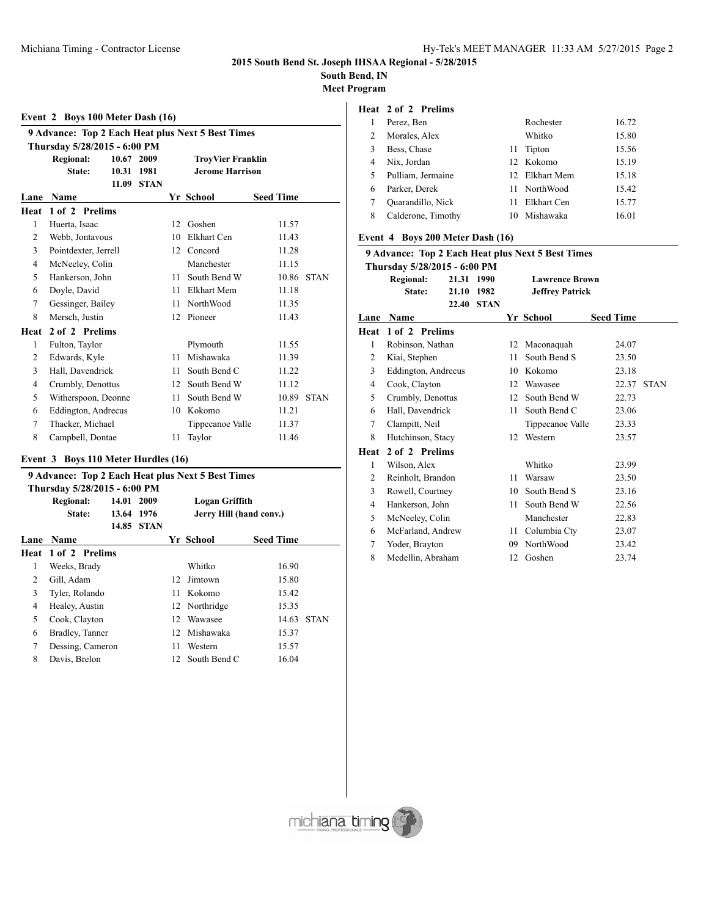# **South Bend, IN**

**Meet Program**

# **Event 2 Boys 100 Meter Dash (16) 9 Advance: Top 2 Each Heat plus Next 5 Best Times Thursday 5/28/2015 - 6:00 PM Regional: 10.67 2009 TroyVier Franklin**

|                | State:               | 10.31 | 1981        |    | <b>Jerome Harrison</b> |                  |             |
|----------------|----------------------|-------|-------------|----|------------------------|------------------|-------------|
|                |                      | 11.09 | <b>STAN</b> |    |                        |                  |             |
| Lane           | Name                 |       |             |    | Yr School              | <b>Seed Time</b> |             |
| Heat           | 1 of 2 Prelims       |       |             |    |                        |                  |             |
| 1              | Huerta, Isaac        |       |             | 12 | Goshen                 | 11.57            |             |
| 2              | Webb, Jontavous      |       |             | 10 | Elkhart Cen            | 11.43            |             |
| 3              | Pointdexter, Jerrell |       |             | 12 | Concord                | 11.28            |             |
| $\overline{4}$ | McNeeley, Colin      |       |             |    | Manchester             | 11.15            |             |
| 5              | Hankerson, John      |       |             | 11 | South Bend W           | 10.86            | <b>STAN</b> |
| 6              | Doyle, David         |       |             | 11 | <b>Elkhart Mem</b>     | 11.18            |             |
| 7              | Gessinger, Bailey    |       |             | 11 | NorthWood              | 11.35            |             |
| 8              | Mersch, Justin       |       |             | 12 | Pioneer                | 11.43            |             |
| Heat           | 2 of 2 Prelims       |       |             |    |                        |                  |             |
| 1              | Fulton, Taylor       |       |             |    | Plymouth               | 11.55            |             |
| 2              | Edwards, Kyle        |       |             | 11 | Mishawaka              | 11.39            |             |
| 3              | Hall, Davendrick     |       |             | 11 | South Bend C           | 11.22            |             |
| 4              | Crumbly, Denottus    |       |             | 12 | South Bend W           | 11.12            |             |
| 5              | Witherspoon, Deonne  |       |             | 11 | South Bend W           | 10.89            | <b>STAN</b> |
| 6              | Eddington, Andrecus  |       |             | 10 | Kokomo                 | 11.21            |             |
| 7              | Thacker, Michael     |       |             |    | Tippecanoe Valle       | 11.37            |             |
| 8              | Campbell, Dontae     |       |             | 11 | Taylor                 | 11.46            |             |

## **Event 3 Boys 110 Meter Hurdles (16)**

| 9 Advance: Top 2 Each Heat plus Next 5 Best Times |  |                                                                   |                                   |           |                                                                   |                                           |  |  |
|---------------------------------------------------|--|-------------------------------------------------------------------|-----------------------------------|-----------|-------------------------------------------------------------------|-------------------------------------------|--|--|
| Thursday 5/28/2015 - 6:00 PM                      |  |                                                                   |                                   |           |                                                                   |                                           |  |  |
| <b>Regional:</b>                                  |  | 2009                                                              |                                   |           |                                                                   |                                           |  |  |
| State:                                            |  |                                                                   |                                   |           |                                                                   |                                           |  |  |
|                                                   |  |                                                                   |                                   |           |                                                                   |                                           |  |  |
| <b>Name</b>                                       |  |                                                                   |                                   |           | <b>Seed Time</b>                                                  |                                           |  |  |
|                                                   |  |                                                                   |                                   |           |                                                                   |                                           |  |  |
| Weeks, Brady                                      |  |                                                                   |                                   | Whitko    | 16.90                                                             |                                           |  |  |
| Gill, Adam                                        |  |                                                                   |                                   | Jimtown   | 15.80                                                             |                                           |  |  |
| Tyler, Rolando                                    |  |                                                                   | 11                                | Kokomo    | 15.42                                                             |                                           |  |  |
| Healey, Austin                                    |  |                                                                   |                                   |           | 15.35                                                             |                                           |  |  |
| Cook, Clayton                                     |  |                                                                   |                                   |           | 14.63                                                             | <b>STAN</b>                               |  |  |
|                                                   |  |                                                                   | 12                                | Mishawaka | 15.37                                                             |                                           |  |  |
|                                                   |  |                                                                   | 11                                | Western   | 15.57                                                             |                                           |  |  |
| Davis, Brelon                                     |  |                                                                   |                                   |           | 16.04                                                             |                                           |  |  |
|                                                   |  | <b>Heat 1 of 2 Prelims</b><br>Bradley, Tanner<br>Dessing, Cameron | 14.01<br>13.64 1976<br>14.85 STAN |           | Yr School<br>12<br>12 Northridge<br>12 Wawasee<br>12 South Bend C | Logan Griffith<br>Jerry Hill (hand conv.) |  |  |

# **Heat 2 of 2 Prelims**

|    | Perez, Ben         |    | Rochester      | 16.72 |
|----|--------------------|----|----------------|-------|
| 2  | Morales, Alex      |    | Whitko         | 15.80 |
|    | Bess, Chase        | 11 | Tipton         | 15.56 |
| 4  | Nix, Jordan        |    | 12 Kokomo      | 15.19 |
| 5. | Pulliam, Jermaine  |    | 12 Elkhart Mem | 15.18 |
| 6  | Parker, Derek      |    | 11 NorthWood   | 15.42 |
|    | Quarandillo, Nick  | 11 | Elkhart Cen    | 15.77 |
|    | Calderone, Timothy | 10 | Mishawaka      | 16.01 |

### **Event 4 Boys 200 Meter Dash (16)**

|      | 9 Advance: Top 2 Each Heat plus Next 5 Best Times |       |             |    |                        |                  |             |  |  |
|------|---------------------------------------------------|-------|-------------|----|------------------------|------------------|-------------|--|--|
|      | Thursday 5/28/2015 - 6:00 PM                      |       |             |    |                        |                  |             |  |  |
|      | <b>Regional:</b>                                  | 21.31 | 1990        |    | <b>Lawrence Brown</b>  |                  |             |  |  |
|      | State:                                            | 21.10 | 1982        |    | <b>Jeffrey Patrick</b> |                  |             |  |  |
|      |                                                   | 22.40 | <b>STAN</b> |    |                        |                  |             |  |  |
| Lane | Name                                              |       |             |    | Yr School              | <b>Seed Time</b> |             |  |  |
| Heat | 1 of 2 Prelims                                    |       |             |    |                        |                  |             |  |  |
| 1    | Robinson, Nathan                                  |       |             | 12 | Maconaquah             | 24.07            |             |  |  |
| 2    | Kiai, Stephen                                     |       |             | 11 | South Bend S           | 23.50            |             |  |  |
| 3    | Eddington, Andrecus                               |       |             | 10 | Kokomo                 | 23.18            |             |  |  |
| 4    | Cook, Clayton                                     |       |             | 12 | Wawasee                | 22.37            | <b>STAN</b> |  |  |
| 5    | Crumbly, Denottus                                 |       |             | 12 | South Bend W           | 22.73            |             |  |  |
| 6    | Hall, Davendrick                                  |       |             | 11 | South Bend C           | 23.06            |             |  |  |
| 7    | Clampitt, Neil                                    |       |             |    | Tippecanoe Valle       | 23.33            |             |  |  |
| 8    | Hutchinson, Stacy                                 |       |             | 12 | Western                | 23.57            |             |  |  |
| Heat | 2 of 2 Prelims                                    |       |             |    |                        |                  |             |  |  |
| 1    | Wilson, Alex                                      |       |             |    | Whitko                 | 23.99            |             |  |  |
| 2    | Reinholt, Brandon                                 |       |             | 11 | Warsaw                 | 23.50            |             |  |  |
| 3    | Rowell, Courtney                                  |       |             | 10 | South Bend S           | 23.16            |             |  |  |
| 4    | Hankerson, John                                   |       |             | 11 | South Bend W           | 22.56            |             |  |  |
| 5    | McNeeley, Colin                                   |       |             |    | Manchester             | 22.83            |             |  |  |
| 6    | McFarland, Andrew                                 |       |             | 11 | Columbia Cty           | 23.07            |             |  |  |
| 7    | Yoder, Brayton                                    |       |             | 09 | NorthWood              | 23.42            |             |  |  |
| 8    | Medellin, Abraham                                 |       |             | 12 | Goshen                 | 23.74            |             |  |  |

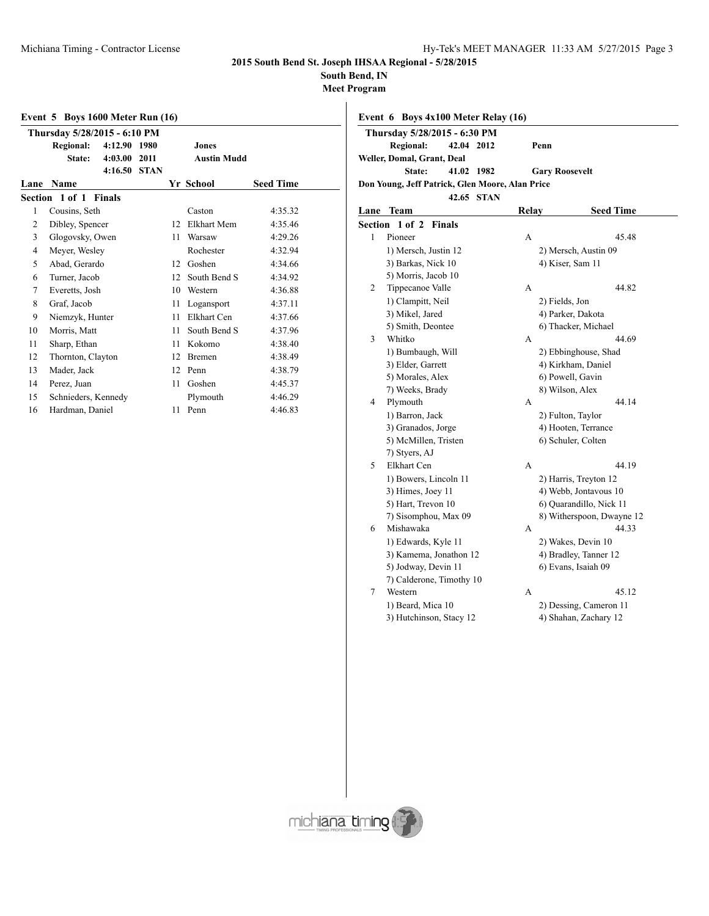**South Bend, IN**

**Meet Program**

|      | <b>Event 5 Boys 1600 Meter Run (16)</b> |               |             |    |                    |                  |  |  |
|------|-----------------------------------------|---------------|-------------|----|--------------------|------------------|--|--|
|      | Thursday 5/28/2015 - 6:10 PM            |               |             |    |                    |                  |  |  |
|      | <b>Regional:</b>                        | 4:12.90       | 1980        |    | Jones              |                  |  |  |
|      | State:                                  | 4:03.00       | 2011        |    | <b>Austin Mudd</b> |                  |  |  |
|      |                                         | 4:16.50       | <b>STAN</b> |    |                    |                  |  |  |
| Lane | <b>Name</b>                             |               |             |    | Yr School          | <b>Seed Time</b> |  |  |
|      | Section 1 of 1                          | <b>Finals</b> |             |    |                    |                  |  |  |
| 1    | Cousins, Seth                           |               |             |    | Caston             | 4:35.32          |  |  |
| 2    | Dibley, Spencer                         |               |             | 12 | Elkhart Mem        | 4:35.46          |  |  |
| 3    | Glogovsky, Owen                         |               |             | 11 | Warsaw             | 4:29.26          |  |  |
| 4    | Meyer, Wesley                           |               |             |    | Rochester          | 4:32.94          |  |  |
| 5    | Abad, Gerardo                           |               |             | 12 | Goshen             | 4:34.66          |  |  |
| 6    | Turner, Jacob                           |               |             | 12 | South Bend S       | 4:34.92          |  |  |
| 7    | Everetts, Josh                          |               |             | 10 | Western            | 4:36.88          |  |  |
| 8    | Graf, Jacob                             |               |             | 11 | Logansport         | 4:37.11          |  |  |
| 9    | Niemzyk, Hunter                         |               |             | 11 | Elkhart Cen        | 4:37.66          |  |  |
| 10   | Morris, Matt                            |               |             | 11 | South Bend S       | 4:37.96          |  |  |
| 11   | Sharp, Ethan                            |               |             | 11 | Kokomo             | 4:38.40          |  |  |
| 12   | Thornton, Clayton                       |               |             | 12 | Bremen             | 4:38.49          |  |  |
| 13   | Mader, Jack                             |               |             | 12 | Penn               | 4:38.79          |  |  |
| 14   | Perez, Juan                             |               |             | 11 | Goshen             | 4:45.37          |  |  |
| 15   | Schnieders, Kennedy                     |               |             |    | Plymouth           | 4:46.29          |  |  |
| 16   | Hardman, Daniel                         |               |             | 11 | Penn               | 4:46.83          |  |  |
|      |                                         |               |             |    |                    |                  |  |  |

| Event 6 Boys 4x100 Meter Relay (16)             |                   |      |                       |  |
|-------------------------------------------------|-------------------|------|-----------------------|--|
| Thursday 5/28/2015 - 6:30 PM                    |                   |      |                       |  |
| Regional: 42.04 2012                            |                   | Penn |                       |  |
| Weller, Domal, Grant, Deal                      |                   |      |                       |  |
|                                                 | State: 41.02 1982 |      | <b>Gary Roosevelt</b> |  |
| Don Young, Jeff Patrick, Glen Moore, Alan Price |                   |      |                       |  |
|                                                 | 42.65 STAN        |      |                       |  |
|                                                 |                   |      |                       |  |

| Lane    | Team                     | <b>Relay</b> | <b>Seed Time</b>          |
|---------|--------------------------|--------------|---------------------------|
| Section | 1 of 2<br>Finals         |              |                           |
| 1       | Pioneer                  | A            | 45.48                     |
|         | 1) Mersch, Justin 12     |              | 2) Mersch, Austin 09      |
|         | 3) Barkas, Nick 10       |              | 4) Kiser, Sam 11          |
|         | 5) Morris, Jacob 10      |              |                           |
| 2       | Tippecanoe Valle         | A            | 44.82                     |
|         | 1) Clampitt, Neil        |              | 2) Fields, Jon            |
|         | 3) Mikel, Jared          |              | 4) Parker, Dakota         |
|         | 5) Smith, Deontee        |              | 6) Thacker, Michael       |
| 3       | Whitko                   | A            | 44.69                     |
|         | 1) Bumbaugh, Will        |              | 2) Ebbinghouse, Shad      |
|         | 3) Elder, Garrett        |              | 4) Kirkham, Daniel        |
|         | 5) Morales, Alex         |              | 6) Powell, Gavin          |
|         | 7) Weeks, Brady          |              | 8) Wilson, Alex           |
| 4       | Plymouth                 | A            | 44.14                     |
|         | 1) Barron, Jack          |              | 2) Fulton, Taylor         |
|         | 3) Granados, Jorge       |              | 4) Hooten, Terrance       |
|         | 5) McMillen, Tristen     |              | 6) Schuler, Colten        |
|         | 7) Styers, AJ            |              |                           |
| 5       | Elkhart Cen              | A            | 44.19                     |
|         | 1) Bowers, Lincoln 11    |              | 2) Harris, Treyton 12     |
|         | 3) Himes, Joey 11        |              | 4) Webb, Jontavous 10     |
|         | 5) Hart, Trevon 10       |              | 6) Quarandillo, Nick 11   |
|         | 7) Sisomphou, Max 09     |              | 8) Witherspoon, Dwayne 12 |
| 6       | Mishawaka                | A            | 44.33                     |
|         | 1) Edwards, Kyle 11      |              | 2) Wakes, Devin 10        |
|         | 3) Kamema, Jonathon 12   |              | 4) Bradley, Tanner 12     |
|         | 5) Jodway, Devin 11      |              | 6) Evans, Isaiah 09       |
|         | 7) Calderone, Timothy 10 |              |                           |
| 7       | Western                  | A            | 45.12                     |
|         | 1) Beard, Mica 10        |              | 2) Dessing, Cameron 11    |
|         | 3) Hutchinson, Stacy 12  |              | 4) Shahan, Zachary 12     |
|         |                          |              |                           |

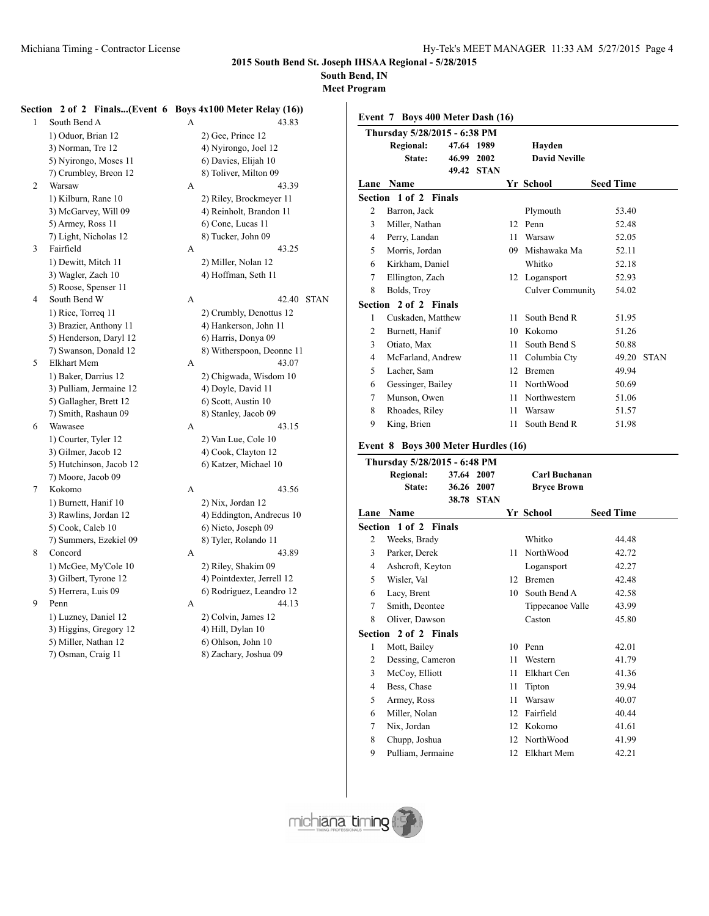**South Bend, IN**

**Meet Program**

### **Section 2 of 2 Finals...(Event 6 Boys 4x100 Meter Relay (16))**

1 South Bend A 43.833 1) Oduor, Brian 12 3) Norman, Tre 12 5) Nyirongo, Moses 11 7) Crumbley, Breon 12 2 Warsaw A 1) Kilburn, Rane 10 3) McGarvey, Will 09 5) Armey, Ross 11 7) Light, Nicholas 12 3 Fairfield A 1) Dewitt, Mitch 11 3) Wagler, Zach 10 5) Roose, Spenser 11 4 South Bend W A 42.40 STAN 1) Rice, Torreq 11 2) Crumbly, Denottus 12 3) Brazier, Anthony 11 4) Hankerson, John 11 5) Henderson, Daryl 12 6) Harris, Donya 09 7) Swanson, Donald 12 8) Witherspoon, Deonne 11 5 Elkhart Mem A 43.07 1) Baker, Darrius 12 2) Chigwada, Wisdom 10 3) Pulliam, Jermaine 12 4) Doyle, David 11 5) Gallagher, Brett 12 6) Scott, Austin 10 7) Smith, Rashaun 09 8) Stanley, Jacob 09 6 Wawasee A 43.15 1) Courter, Tyler 12 2) Van Lue, Cole 10 3) Gilmer, Jacob 12 4) Cook, Clayton 12 5) Hutchinson, Jacob 12 6) Katzer, Michael 10 7) Moore, Jacob 09 7 Kokomo A 43.56 1) Burnett, Hanif 10 2) Nix, Jordan 12 3) Rawlins, Jordan 12 4) Eddington, Andrecus 10 5) Cook, Caleb 10 6) Nieto, Joseph 09 7) Summers, Ezekiel 09 8) Tyler, Rolando 11 8 Concord A 43.89 1) McGee, My'Cole 10 2) Riley, Shakim 09 3) Gilbert, Tyrone 12 4) Pointdexter, Jerrell 12 5) Herrera, Luis 09 6) Rodriguez, Leandro 12 9 Penn A 44.13 1) Luzney, Daniel 12 2) Colvin, James 12 3) Higgins, Gregory 12 4) Hill, Dylan 10 5) Miller, Nathan 12 6) Ohlson, John 10

| 7) Osman, Craig 11 |  |
|--------------------|--|
|                    |  |

| 43.83                   |
|-------------------------|
| 2) Gee, Prince 12       |
| 4) Nyirongo, Joel 12    |
| 6) Davies, Elijah 10    |
| 8) Toliver, Milton 09   |
| 43 39                   |
| 2) Riley, Brockmeyer 11 |
| 4) Reinholt, Brandon 11 |
| 6) Cone, Lucas 11       |
| 8) Tucker, John 09      |
| 43.25                   |
| 2) Miller, Nolan 12     |
| 4) Hoffman, Seth 11     |

ig 11 8) Zachary, Joshua 09

|                | Event 7 Boys 400 Meter Dash (16) |       |             |    |                         |  |                  |             |  |
|----------------|----------------------------------|-------|-------------|----|-------------------------|--|------------------|-------------|--|
|                | Thursday 5/28/2015 - 6:38 PM     |       |             |    |                         |  |                  |             |  |
|                | <b>Regional:</b>                 |       | 47.64 1989  |    | Havden                  |  |                  |             |  |
|                | State:                           | 46.99 | 2002        |    | <b>David Neville</b>    |  |                  |             |  |
|                |                                  | 49.42 | <b>STAN</b> |    |                         |  |                  |             |  |
| Lane           | <b>Name</b>                      |       |             |    | Yr School               |  | <b>Seed Time</b> |             |  |
|                | Section 1 of 2 Finals            |       |             |    |                         |  |                  |             |  |
| $\overline{2}$ | Barron, Jack                     |       |             |    | Plymouth                |  | 53.40            |             |  |
| 3              | Miller, Nathan                   |       |             | 12 | Penn                    |  | 52.48            |             |  |
| 4              | Perry, Landan                    |       |             | 11 | Warsaw                  |  | 52.05            |             |  |
| 5              | Morris, Jordan                   |       |             | 09 | Mishawaka Ma            |  | 52.11            |             |  |
| 6              | Kirkham, Daniel                  |       |             |    | Whitko                  |  | 52.18            |             |  |
| 7              | Ellington, Zach                  |       |             |    | 12 Logansport           |  | 52.93            |             |  |
| 8              | Bolds, Troy                      |       |             |    | <b>Culver Community</b> |  | 54.02            |             |  |
|                | Section 2 of 2 Finals            |       |             |    |                         |  |                  |             |  |
| 1              | Cuskaden, Matthew                |       |             | 11 | South Bend R            |  | 51.95            |             |  |
| 2              | Burnett, Hanif                   |       |             | 10 | Kokomo                  |  | 51.26            |             |  |
| 3              | Otiato, Max                      |       |             | 11 | South Bend S            |  | 50.88            |             |  |
| 4              | McFarland, Andrew                |       |             | 11 | Columbia Cty            |  | 49.20            | <b>STAN</b> |  |
| 5              | Lacher, Sam                      |       |             | 12 | <b>Bremen</b>           |  | 49.94            |             |  |
| 6              | Gessinger, Bailey                |       |             | 11 | NorthWood               |  | 50.69            |             |  |
| 7              | Munson, Owen                     |       |             | 11 | Northwestern            |  | 51.06            |             |  |
| 8              | Rhoades, Riley                   |       |             | 11 | Warsaw                  |  | 51.57            |             |  |
| 9              | King, Brien                      |       |             | 11 | South Bend R            |  | 51.98            |             |  |
|                |                                  |       |             |    |                         |  |                  |             |  |

### **Event 8 Boys 300 Meter Hurdles (16)**

|                | Thursday 5/28/2015 - 6:48 PM |            |            |    |                    |                  |
|----------------|------------------------------|------------|------------|----|--------------------|------------------|
|                | <b>Regional:</b>             | 37.64 2007 |            |    | Carl Buchanan      |                  |
|                | State:                       | 36.26 2007 |            |    | <b>Bryce Brown</b> |                  |
|                |                              |            | 38.78 STAN |    |                    |                  |
| Lane           | <b>Name</b>                  |            |            |    | Yr School          | <b>Seed Time</b> |
|                | <b>Section 1 of 2 Finals</b> |            |            |    |                    |                  |
| 2              | Weeks, Brady                 |            |            |    | Whitko             | 44.48            |
| $\overline{3}$ | Parker, Derek                |            |            | 11 | NorthWood          | 42.72            |
| 4              | Ashcroft, Keyton             |            |            |    | Logansport         | 42.27            |
| 5              | Wisler, Val                  |            |            | 12 | Bremen             | 42.48            |
| 6              | Lacy, Brent                  |            |            | 10 | South Bend A       | 42.58            |
| 7              | Smith, Deontee               |            |            |    | Tippecanoe Valle   | 43.99            |
| 8              | Oliver, Dawson               |            |            |    | Caston             | 45.80            |
|                | <b>Section 2 of 2 Finals</b> |            |            |    |                    |                  |
| 1              | Mott, Bailey                 |            |            | 10 | Penn               | 42.01            |
| 2              | Dessing, Cameron             |            |            | 11 | Western            | 41.79            |
| 3              | McCoy, Elliott               |            |            | 11 | Elkhart Cen        | 41.36            |
| 4              | Bess, Chase                  |            |            | 11 | Tipton             | 39.94            |
| 5              | Armey, Ross                  |            |            | 11 | Warsaw             | 40.07            |
| 6              | Miller, Nolan                |            |            | 12 | Fairfield          | 40.44            |
| 7              | Nix, Jordan                  |            |            | 12 | Kokomo             | 41.61            |
| 8              | Chupp, Joshua                |            |            | 12 | NorthWood          | 41.99            |
| 9              | Pulliam, Jermaine            |            |            |    | 12 Elkhart Mem     | 42.21            |

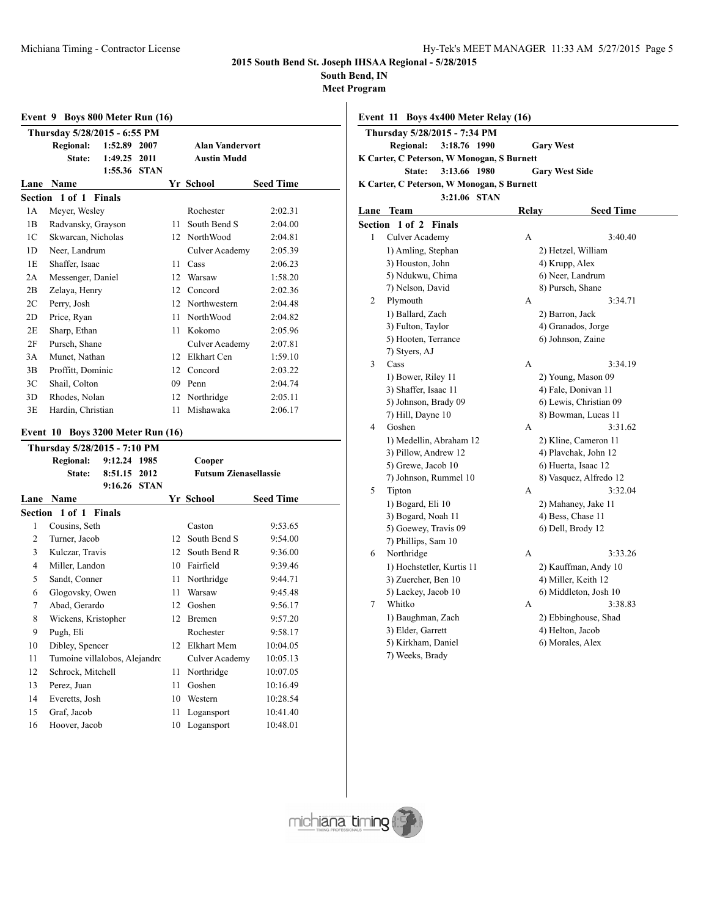**South Bend, IN**

**Meet Program**

|      | Event 9 Boys 800 Meter Run (16) |              |      |    |                        |                  |  |  |  |  |  |
|------|---------------------------------|--------------|------|----|------------------------|------------------|--|--|--|--|--|
|      | Thursday 5/28/2015 - 6:55 PM    |              |      |    |                        |                  |  |  |  |  |  |
|      | <b>Regional:</b>                | 1:52.89      | 2007 |    | <b>Alan Vandervort</b> |                  |  |  |  |  |  |
|      | State:                          | 1:49.25      | 2011 |    | <b>Austin Mudd</b>     |                  |  |  |  |  |  |
|      |                                 | 1:55.36 STAN |      |    |                        |                  |  |  |  |  |  |
| Lane | <b>Name</b>                     |              |      |    | Yr School              | <b>Seed Time</b> |  |  |  |  |  |
|      | Section 1 of 1 Finals           |              |      |    |                        |                  |  |  |  |  |  |
| 1 A  | Meyer, Wesley                   |              |      |    | Rochester              | 2:02.31          |  |  |  |  |  |
| 1B   | Radvansky, Grayson              |              |      | 11 | South Bend S           | 2:04.00          |  |  |  |  |  |
| 1C   | Skwarcan, Nicholas              |              |      | 12 | <b>NorthWood</b>       | 2:04.81          |  |  |  |  |  |
| 1D   | Neer, Landrum                   |              |      |    | Culver Academy         | 2:05.39          |  |  |  |  |  |
| 1E   | Shaffer, Isaac                  |              |      | 11 | Cass                   | 2:06.23          |  |  |  |  |  |
| 2A   | Messenger, Daniel               |              |      | 12 | Warsaw                 | 1:58.20          |  |  |  |  |  |
| 2B   | Zelaya, Henry                   |              |      | 12 | Concord                | 2:02.36          |  |  |  |  |  |
| 2C   | Perry, Josh                     |              |      | 12 | Northwestern           | 2:04.48          |  |  |  |  |  |
| 2D   | Price, Ryan                     |              |      | 11 | North Wood             | 2:04.82          |  |  |  |  |  |
| 2E   | Sharp, Ethan                    |              |      | 11 | Kokomo                 | 2:05.96          |  |  |  |  |  |
| 2F   | Pursch, Shane                   |              |      |    | Culver Academy         | 2:07.81          |  |  |  |  |  |
| 3A   | Munet, Nathan                   |              |      | 12 | Elkhart Cen            | 1:59.10          |  |  |  |  |  |
| 3B   | Proffitt, Dominic               |              |      | 12 | Concord                | 2:03.22          |  |  |  |  |  |
| 3C   | Shail, Colton                   |              |      | 09 | Penn                   | 2:04.74          |  |  |  |  |  |
| 3D   | Rhodes, Nolan                   |              |      | 12 | Northridge             | 2:05.11          |  |  |  |  |  |
| 3E   | Hardin, Christian               |              |      | 11 | Mishawaka              | 2:06.17          |  |  |  |  |  |

### **Event 10 Boys 3200 Meter Run (16)**

|        | Thursday 5/28/2015 - 7:10 PM  |              |      |    |                              |                  |  |
|--------|-------------------------------|--------------|------|----|------------------------------|------------------|--|
|        | <b>Regional:</b>              | 9:12.24      | 1985 |    | Cooper                       |                  |  |
|        | State:                        | 8:51.15      | 2012 |    | <b>Futsum Zienasellassie</b> |                  |  |
|        |                               | 9:16.26 STAN |      |    |                              |                  |  |
| Lane   | Name                          |              |      |    | Yr School                    | <b>Seed Time</b> |  |
|        | Section 1 of 1 Finals         |              |      |    |                              |                  |  |
| 1      | Cousins, Seth                 |              |      |    | Caston                       | 9:53.65          |  |
| 2      | Turner, Jacob                 |              |      | 12 | South Bend S                 | 9:54.00          |  |
| 3      | Kulczar, Travis               |              |      | 12 | South Bend R                 | 9:36.00          |  |
| 4      | Miller, Landon                |              |      | 10 | Fairfield                    | 9:39.46          |  |
| 5      | Sandt, Conner                 |              |      | 11 | Northridge                   | 9:44.71          |  |
| 6      | Glogovsky, Owen               |              |      | 11 | Warsaw                       | 9:45.48          |  |
| $\tau$ | Abad, Gerardo                 |              |      | 12 | Goshen                       | 9:56.17          |  |
| 8      | Wickens, Kristopher           |              |      | 12 | Bremen                       | 9:57.20          |  |
| 9      | Pugh, Eli                     |              |      |    | Rochester                    | 9:58.17          |  |
| 10     | Dibley, Spencer               |              |      | 12 | Elkhart Mem                  | 10:04.05         |  |
| 11     | Tumoine villalobos, Alejandro |              |      |    | Culver Academy               | 10:05.13         |  |
| 12     | Schrock, Mitchell             |              |      | 11 | Northridge                   | 10:07.05         |  |
| 13     | Perez, Juan                   |              |      | 11 | Goshen                       | 10:16.49         |  |
| 14     | Everetts, Josh                |              |      | 10 | Western                      | 10:28.54         |  |
| 15     | Graf, Jacob                   |              |      | 11 | Logansport                   | 10:41.40         |  |
| 16     | Hoover, Jacob                 |              |      | 10 | Logansport                   | 10:48.01         |  |
|        |                               |              |      |    |                              |                  |  |

| Event 11 Boys 4x400 Meter Relay (16)       |                     |                       |  |
|--------------------------------------------|---------------------|-----------------------|--|
| Thursday 5/28/2015 - 7:34 PM               |                     |                       |  |
| Regional: 3:18.76 1990                     |                     | <b>Gary West</b>      |  |
| K Carter, C Peterson, W Monogan, S Burnett |                     |                       |  |
|                                            | State: 3:13.66 1980 | <b>Gary West Side</b> |  |
| K Carter, C Peterson, W Monogan, S Burnett |                     |                       |  |
|                                            | 3.21 06 STAN        |                       |  |

| Lane           | Team                      | <b>Relay</b> | <b>Seed Time</b>       |
|----------------|---------------------------|--------------|------------------------|
|                | Section 1 of 2 Finals     |              |                        |
| $\mathbf{1}$   | <b>Culver Academy</b>     | A            | 3:40.40                |
|                | 1) Amling, Stephan        |              | 2) Hetzel, William     |
|                | 3) Houston, John          |              | 4) Krupp, Alex         |
|                | 5) Ndukwu, Chima          |              | 6) Neer, Landrum       |
|                | 7) Nelson, David          |              | 8) Pursch, Shane       |
| $\overline{c}$ | Plymouth                  | A            | 3:34.71                |
|                | 1) Ballard, Zach          |              | 2) Barron, Jack        |
|                | 3) Fulton, Taylor         |              | 4) Granados, Jorge     |
|                | 5) Hooten, Terrance       |              | 6) Johnson, Zaine      |
|                | 7) Styers, AJ             |              |                        |
| 3              | Cass                      | A            | 3:34.19                |
|                | 1) Bower, Riley 11        |              | 2) Young, Mason 09     |
|                | 3) Shaffer, Isaac 11      |              | 4) Fale, Donivan 11    |
|                | 5) Johnson, Brady 09      |              | 6) Lewis, Christian 09 |
|                | 7) Hill, Dayne 10         |              | 8) Bowman, Lucas 11    |
| 4              | Goshen                    | A            | 3:31.62                |
|                | 1) Medellin, Abraham 12   |              | 2) Kline, Cameron 11   |
|                | 3) Pillow, Andrew 12      |              | 4) Plavchak, John 12   |
|                | 5) Grewe, Jacob 10        |              | 6) Huerta, Isaac 12    |
|                | 7) Johnson, Rummel 10     |              | 8) Vasquez, Alfredo 12 |
| 5              | Tipton                    | А            | 3:32.04                |
|                | 1) Bogard, Eli 10         |              | 2) Mahaney, Jake 11    |
|                | 3) Bogard, Noah 11        |              | 4) Bess, Chase 11      |
|                | 5) Goewey, Travis 09      |              | 6) Dell, Brody 12      |
|                | 7) Phillips, Sam 10       |              |                        |
| 6              | Northridge                | A            | 3:33.26                |
|                | 1) Hochstetler, Kurtis 11 |              | 2) Kauffman, Andy 10   |
|                | 3) Zuercher, Ben 10       |              | 4) Miller, Keith 12    |
|                | 5) Lackey, Jacob 10       |              | 6) Middleton, Josh 10  |
| 7              | Whitko                    | A            | 3:38.83                |
|                | 1) Baughman, Zach         |              | 2) Ebbinghouse, Shad   |
|                | 3) Elder, Garrett         |              | 4) Helton, Jacob       |
|                | 5) Kirkham, Daniel        |              | 6) Morales, Alex       |
|                | 7) Weeks, Brady           |              |                        |

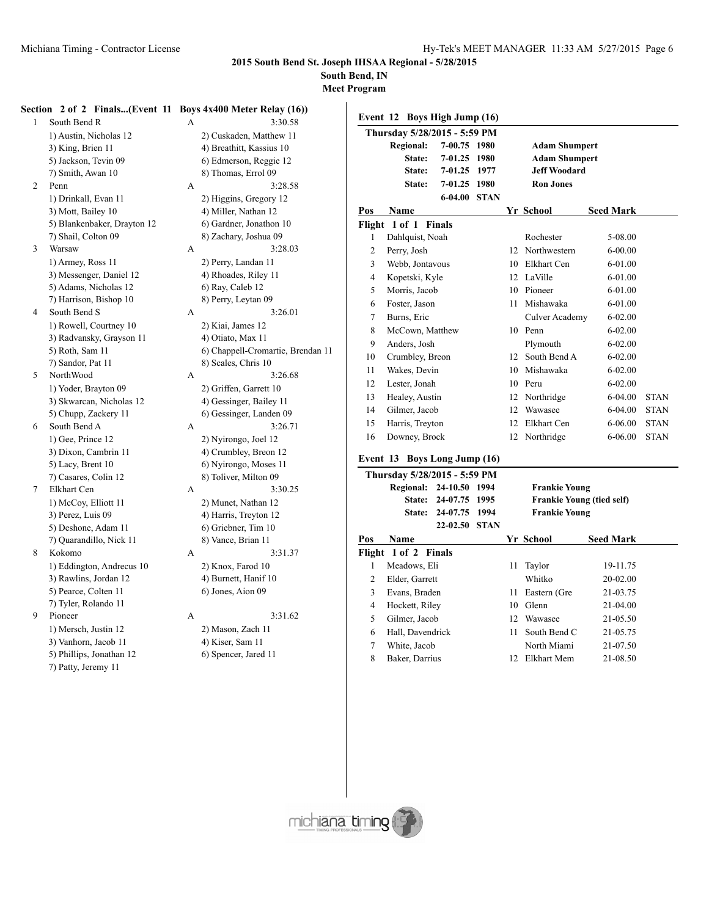**South Bend, IN**

**Meet Program**

### **Section 2 of 2 Finals...(Event 11 Boys 4x400 Meter Relay (16))**

| 1 | South Bend R                | А | 3:30.58                   |
|---|-----------------------------|---|---------------------------|
|   | 1) Austin, Nicholas 12      |   | 2) Cuskaden, Matthew 11   |
|   | 3) King, Brien 11           |   | 4) Breathitt, Kassius 10  |
|   | 5) Jackson, Tevin 09        |   | 6) Edmerson, Reggie 12    |
|   | 7) Smith, Awan 10           |   | 8) Thomas, Errol 09       |
| 2 | Penn                        | A | 3:28.58                   |
|   | 1) Drinkall, Evan 11        |   | 2) Higgins, Gregory 12    |
|   | 3) Mott, Bailey 10          |   | 4) Miller, Nathan 12      |
|   | 5) Blankenbaker, Drayton 12 |   | 6) Gardner, Jonathon 10   |
|   | 7) Shail, Colton 09         |   | 8) Zachary, Joshua 09     |
| 3 | Warsaw                      | А | 3:28.03                   |
|   | 1) Armey, Ross 11           |   | 2) Perry, Landan 11       |
|   | 3) Messenger, Daniel 12     |   | 4) Rhoades, Riley 11      |
|   | 5) Adams, Nicholas 12       |   | 6) Ray, Caleb 12          |
|   | 7) Harrison, Bishop 10      |   | 8) Perry, Leytan 09       |
| 4 | South Bend S                | А | 3:26.01                   |
|   | 1) Rowell, Courtney 10      |   | 2) Kiai, James 12         |
|   | 3) Radvansky, Grayson 11    |   | 4) Otiato, Max 11         |
|   | 5) Roth, Sam 11             |   | 6) Chappell-Cromartie, Br |
|   | 7) Sandor, Pat 11           |   | 8) Scales, Chris 10       |
| 5 | NorthWood                   | A | 3:26.68                   |
|   | 1) Yoder, Brayton 09        |   | 2) Griffen, Garrett 10    |
|   | 3) Skwarcan, Nicholas 12    |   | 4) Gessinger, Bailey 11   |
|   | 5) Chupp, Zackery 11        |   | 6) Gessinger, Landen 09   |
| 6 | South Bend A                | А | 3:26.71                   |
|   | 1) Gee, Prince 12           |   | 2) Nyirongo, Joel 12      |
|   | 3) Dixon, Cambrin 11        |   | 4) Crumbley, Breon 12     |
|   | 5) Lacy, Brent 10           |   | 6) Nyirongo, Moses 11     |
|   | 7) Casares, Colin 12        |   | 8) Toliver, Milton 09     |
| 7 | Elkhart Cen                 | А | 3:30.25                   |
|   | 1) McCoy, Elliott 11        |   | 2) Munet, Nathan 12       |
|   | 3) Perez, Luis 09           |   | 4) Harris, Treyton 12     |
|   | 5) Deshone, Adam 11         |   | 6) Griebner, Tim 10       |
|   | 7) Quarandillo, Nick 11     |   | 8) Vance, Brian 11        |
| 8 | Kokomo                      | А | 3:31.37                   |
|   | 1) Eddington, Andrecus 10   |   | 2) Knox, Farod 10         |
|   | 3) Rawlins, Jordan 12       |   | 4) Burnett, Hanif 10      |
|   | 5) Pearce, Colten 11        |   | 6) Jones, Aion 09         |
|   | 7) Tyler, Rolando 11        |   |                           |
| 9 | Pioneer                     | А | 3:31.62                   |
|   | 1) Mersch, Justin 12        |   | 2) Mason, Zach 11         |
|   | 3) Vanhorn, Jacob 11        |   | 4) Kiser, Sam 11          |
|   | 5) Phillips, Jonathan 12    |   | 6) Spencer, Jared 11      |
|   |                             |   |                           |

7) Patty, Jeremy 11

| South Bend R                 | А | 3:30.58                           |  |
|------------------------------|---|-----------------------------------|--|
| 1) Austin, Nicholas 12       |   | 2) Cuskaden, Matthew 11           |  |
| 3) King, Brien 11            |   | 4) Breathitt, Kassius 10          |  |
| 5) Jackson, Tevin 09         |   | 6) Edmerson, Reggie 12            |  |
| 7) Smith, Awan 10            |   | 8) Thomas, Errol 09               |  |
| Penn                         | A | 3:28.58                           |  |
| 1) Drinkall, Evan 11         |   | 2) Higgins, Gregory 12            |  |
| 3) Mott, Bailey 10           |   | 4) Miller, Nathan 12              |  |
| 5) Blankenbaker, Drayton 12  |   | 6) Gardner, Jonathon 10           |  |
| 7) Shail, Colton 09          |   | 8) Zachary, Joshua 09             |  |
| Warsaw                       | А | 3:28.03                           |  |
| 1) Armey, Ross 11            |   | 2) Perry, Landan 11               |  |
| 3) Messenger, Daniel 12      |   | 4) Rhoades, Riley 11              |  |
| 5) Adams, Nicholas 12        |   | 6) Ray, Caleb 12                  |  |
| 7) Harrison, Bishop 10       |   | 8) Perry, Leytan 09               |  |
| South Bend S                 | A | 3:26.01                           |  |
| 1) Rowell, Courtney 10       |   | 2) Kiai, James 12                 |  |
| 3) Radvansky, Grayson 11     |   | 4) Otiato, Max 11                 |  |
| 5) Roth, Sam 11              |   | 6) Chappell-Cromartie, Brendan 11 |  |
| 7) Sandor, Pat 11            |   | 8) Scales, Chris 10               |  |
| NorthWood                    | A | 3:26.68                           |  |
| 1) Yoder, Brayton 09         |   | 2) Griffen, Garrett 10            |  |
| 3) Skwarcan, Nicholas 12     |   | 4) Gessinger, Bailey 11           |  |
| 5) Chupp, Zackery 11         |   | 6) Gessinger, Landen 09           |  |
| South Bend A                 | A | 3:26.71                           |  |
| 1) Gee, Prince 12            |   | 2) Nyirongo, Joel 12              |  |
| 3) Dixon, Cambrin 11         |   | 4) Crumbley, Breon 12             |  |
| 5) Lacy, Brent 10            |   | 6) Nyirongo, Moses 11             |  |
| 7) Casares, Colin 12         |   | 8) Toliver, Milton 09             |  |
| Elkhart Cen                  | А | 3:30.25                           |  |
| 1) McCoy, Elliott 11         |   | 2) Munet, Nathan 12               |  |
| 3) Perez, Luis 09            |   | 4) Harris, Treyton 12             |  |
| 5) Deshone, Adam 11          |   | 6) Griebner, Tim 10               |  |
| 7) Quarandillo, Nick 11      |   | 8) Vance, Brian 11                |  |
| Kokomo                       | A | 3:31.37                           |  |
| 1) Eddington, Andrecus 10    |   | 2) Knox, Farod 10                 |  |
| 3) Rawlins, Jordan 12        |   | 4) Burnett, Hanif 10              |  |
| 5) Pearce, Colten 11         |   | 6) Jones, Aion 09                 |  |
| 7) Tyler, Rolando 11         |   |                                   |  |
| Pioneer                      | А | 3:31.62                           |  |
| 1) Mersch, Justin 12         |   | 2) Mason, Zach 11                 |  |
| 3) Vanhorn, Jacob 11         |   | 4) Kiser, Sam 11                  |  |
| 5) Phillips, Jonathan 12     |   | 6) Spencer, Jared 11              |  |
| $7\lambda$ Dotter Longman 11 |   |                                   |  |

|        | Event 12 Boys High Jump (16) |               |             |    |                                  |                  |             |  |  |  |  |
|--------|------------------------------|---------------|-------------|----|----------------------------------|------------------|-------------|--|--|--|--|
|        | Thursday 5/28/2015 - 5:59 PM |               |             |    |                                  |                  |             |  |  |  |  |
|        | <b>Regional:</b>             | 7-00.75 1980  |             |    | <b>Adam Shumpert</b>             |                  |             |  |  |  |  |
|        | State:                       | 7-01.25       | 1980        |    | <b>Adam Shumpert</b>             |                  |             |  |  |  |  |
|        | State:                       | 7-01.25       | 1977        |    | <b>Jeff Woodard</b>              |                  |             |  |  |  |  |
|        | State:                       | 7-01.25 1980  |             |    | <b>Ron</b> Jones                 |                  |             |  |  |  |  |
|        |                              | 6-04.00       | <b>STAN</b> |    |                                  |                  |             |  |  |  |  |
| Pos    | Name                         |               |             |    | Yr School                        | <b>Seed Mark</b> |             |  |  |  |  |
|        | Flight 1 of 1                | <b>Finals</b> |             |    |                                  |                  |             |  |  |  |  |
| 1      | Dahlquist, Noah              |               |             |    | Rochester                        | 5-08.00          |             |  |  |  |  |
| 2      | Perry, Josh                  |               |             |    | 12 Northwestern                  | $6 - 00.00$      |             |  |  |  |  |
| 3      | Webb, Jontavous              |               |             |    | 10 Elkhart Cen                   | 6-01.00          |             |  |  |  |  |
| 4      | Kopetski, Kyle               |               |             |    | 12 LaVille                       | $6 - 01.00$      |             |  |  |  |  |
| 5      | Morris, Jacob                |               |             |    | 10 Pioneer                       | 6-01.00          |             |  |  |  |  |
| 6      | Foster, Jason                |               |             | 11 | Mishawaka                        | 6-01.00          |             |  |  |  |  |
| 7      | Burns, Eric                  |               |             |    | Culver Academy                   | $6 - 02.00$      |             |  |  |  |  |
| 8      | McCown, Matthew              |               |             |    | 10 Penn                          | $6 - 02.00$      |             |  |  |  |  |
| 9      | Anders, Josh                 |               |             |    | Plymouth                         | 6-02.00          |             |  |  |  |  |
| 10     | Crumbley, Breon              |               |             |    | 12 South Bend A                  | $6 - 02.00$      |             |  |  |  |  |
| 11     | Wakes, Devin                 |               |             | 10 | Mishawaka                        | $6 - 02.00$      |             |  |  |  |  |
| 12     | Lester, Jonah                |               |             |    | 10 Peru                          | 6-02.00          |             |  |  |  |  |
| 13     | Healey, Austin               |               |             |    | 12 Northridge                    | 6-04.00          | <b>STAN</b> |  |  |  |  |
| 14     | Gilmer, Jacob                |               |             |    | 12 Wawasee                       | 6-04.00          | <b>STAN</b> |  |  |  |  |
| 15     | Harris, Treyton              |               |             | 12 | Elkhart Cen                      | 6-06.00          | <b>STAN</b> |  |  |  |  |
| 16     | Downey, Brock                |               |             | 12 | Northridge                       | 6-06.00          | <b>STAN</b> |  |  |  |  |
|        | Event 13 Boys Long Jump (16) |               |             |    |                                  |                  |             |  |  |  |  |
|        | Thursday 5/28/2015 - 5:59 PM |               |             |    |                                  |                  |             |  |  |  |  |
|        | <b>Regional:</b>             | 24-10.50 1994 |             |    | <b>Frankie Young</b>             |                  |             |  |  |  |  |
|        | <b>State:</b>                | 24-07.75 1995 |             |    | <b>Frankie Young (tied self)</b> |                  |             |  |  |  |  |
|        | State:                       | 24-07.75      | 1994        |    | <b>Frankie Young</b>             |                  |             |  |  |  |  |
|        |                              | 22-02.50      | <b>STAN</b> |    |                                  |                  |             |  |  |  |  |
| Pos    | Name                         |               |             |    | Yr School                        | <b>Seed Mark</b> |             |  |  |  |  |
| Flight | 1 of 2                       | <b>Finals</b> |             |    |                                  |                  |             |  |  |  |  |
| 1      | Meadows, Eli                 |               |             | 11 | Taylor                           | 19-11.75         |             |  |  |  |  |
| 2      | Elder, Garrett               |               |             |    | Whitko                           | 20-02.00         |             |  |  |  |  |
| 3      | Evans, Braden                |               |             | 11 | Eastern (Gre                     | 21-03.75         |             |  |  |  |  |
| 4      | Hockett, Riley               |               |             | 10 | Glenn                            | 21-04.00         |             |  |  |  |  |
| 5      | Gilmer, Jacob                |               |             |    | 12 Wawasee                       | 21-05.50         |             |  |  |  |  |
| 6      | Hall. Davendrick             |               |             |    | 11 South Bend C                  | 21-05.75         |             |  |  |  |  |

7 White, Jacob North Miami 21-07.50 8 Baker, Darrius 12 Elkhart Mem 21-08.50